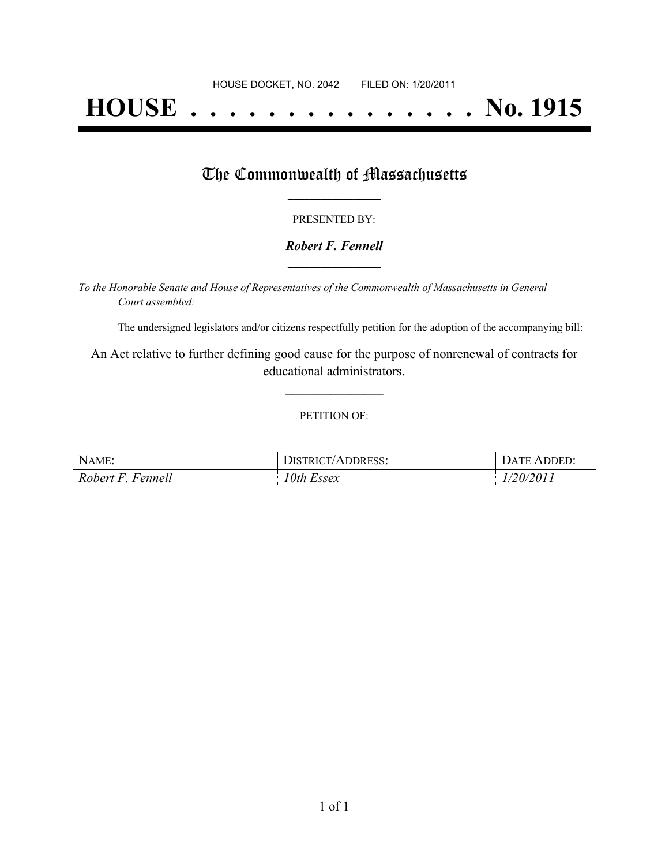# **HOUSE . . . . . . . . . . . . . . . No. 1915**

## The Commonwealth of Massachusetts

#### PRESENTED BY:

#### *Robert F. Fennell* **\_\_\_\_\_\_\_\_\_\_\_\_\_\_\_\_\_**

*To the Honorable Senate and House of Representatives of the Commonwealth of Massachusetts in General Court assembled:*

The undersigned legislators and/or citizens respectfully petition for the adoption of the accompanying bill:

An Act relative to further defining good cause for the purpose of nonrenewal of contracts for educational administrators.

**\_\_\_\_\_\_\_\_\_\_\_\_\_\_\_**

#### PETITION OF:

| NAME:             | DISTRICT/ADDRESS: | DATE ADDED: |
|-------------------|-------------------|-------------|
| Robert F. Fennell | 10th Essex        | 1/20/2011   |